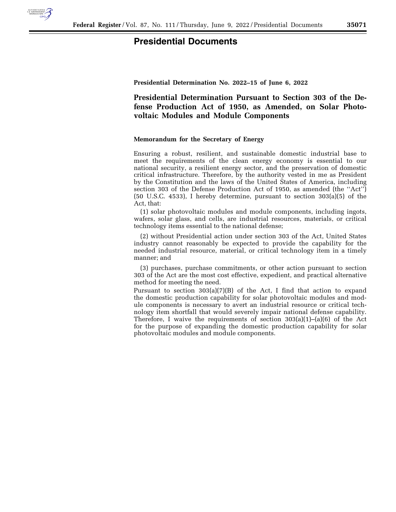

## **Presidential Documents**

**Presidential Determination No. 2022–15 of June 6, 2022** 

**Presidential Determination Pursuant to Section 303 of the Defense Production Act of 1950, as Amended, on Solar Photovoltaic Modules and Module Components** 

## **Memorandum for the Secretary of Energy**

Ensuring a robust, resilient, and sustainable domestic industrial base to meet the requirements of the clean energy economy is essential to our national security, a resilient energy sector, and the preservation of domestic critical infrastructure. Therefore, by the authority vested in me as President by the Constitution and the laws of the United States of America, including section 303 of the Defense Production Act of 1950, as amended (the ''Act'') (50 U.S.C. 4533), I hereby determine, pursuant to section 303(a)(5) of the Act, that:

(1) solar photovoltaic modules and module components, including ingots, wafers, solar glass, and cells, are industrial resources, materials, or critical technology items essential to the national defense;

(2) without Presidential action under section 303 of the Act, United States industry cannot reasonably be expected to provide the capability for the needed industrial resource, material, or critical technology item in a timely manner; and

(3) purchases, purchase commitments, or other action pursuant to section 303 of the Act are the most cost effective, expedient, and practical alternative method for meeting the need.

Pursuant to section  $303(a)(7)(B)$  of the Act, I find that action to expand the domestic production capability for solar photovoltaic modules and module components is necessary to avert an industrial resource or critical technology item shortfall that would severely impair national defense capability. Therefore, I waive the requirements of section 303(a)(1)–(a)(6) of the Act for the purpose of expanding the domestic production capability for solar photovoltaic modules and module components.